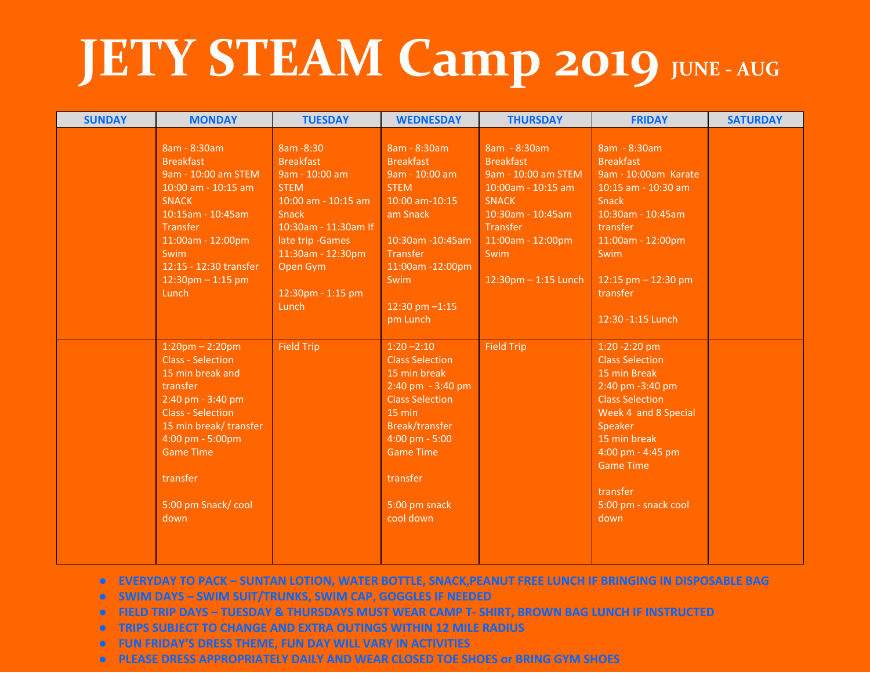## **JETY STEAM Camp 2019 JUNE-AUG**

| <b>SUNDAY</b> | <b>MONDAY</b>                                                                                                                                                                                                                              | <b>TUESDAY</b>                                                                                                                                                                                                     | <b>WEDNESDAY</b>                                                                                                                                                                                                                    | <b>THURSDAY</b>                                                                                                                                                                         | <b>FRIDAY</b>                                                                                                                                                                                                                                  | <b>SATURDAY</b> |
|---------------|--------------------------------------------------------------------------------------------------------------------------------------------------------------------------------------------------------------------------------------------|--------------------------------------------------------------------------------------------------------------------------------------------------------------------------------------------------------------------|-------------------------------------------------------------------------------------------------------------------------------------------------------------------------------------------------------------------------------------|-----------------------------------------------------------------------------------------------------------------------------------------------------------------------------------------|------------------------------------------------------------------------------------------------------------------------------------------------------------------------------------------------------------------------------------------------|-----------------|
|               | 8am - 8:30am<br><b>Breakfast</b><br>9am - 10:00 am STEM<br>10:00 am - 10:15 am<br><b>SNACK</b><br>10:15am - 10:45am<br><b>Transfer</b><br>11:00am - 12:00pm<br>Swim<br>12:15 - 12:30 transfer<br>$12:30$ pm $-1:15$ pm<br>Lunch            | 8am - 8:30<br><b>Breakfast</b><br>9am - 10:00 am<br><b>STEM</b><br>10:00 am - 10:15 am<br><b>Snack</b><br>10:30am - 11:30am If<br>late trip - Games<br>11:30am - 12:30pm<br>Open Gym<br>12:30pm - 1:15 pm<br>Lunch | 8am - 8:30am<br><b>Breakfast</b><br>9am - 10:00 am<br><b>STEM</b><br>10:00 am-10:15<br>am Snack<br>10:30am -10:45am<br><b>Transfer</b><br>11:00am -12:00pm<br>Swim<br>12:30 pm $-1:15$<br>pm Lunch                                  | 8am - 8:30am<br><b>Breakfast</b><br>9am - 10:00 am STEM<br>10:00am - 10:15 am<br><b>SNACK</b><br>10:30am - 10:45am<br>Transfer<br>11:00am - 12:00pm<br>Swim<br>$12:30$ pm $-1:15$ Lunch | 8am - 8:30am<br><b>Breakfast</b><br>9am - 10:00am Karate<br>10:15 am - 10:30 am<br>Snack<br>10:30am - 10:45am<br>transfer<br>11:00am - 12:00pm<br>Swim<br>12:15 pm $-$ 12:30 pm<br>transfer<br>12:30 - 1:15 Lunch                              |                 |
|               | $1:20$ pm – 2:20pm<br><b>Class - Selection</b><br>15 min break and<br>transfer<br>2:40 pm - 3:40 pm<br><b>Class - Selection</b><br>15 min break/transfer<br>4:00 pm - 5:00pm<br><b>Game Time</b><br>transfer<br>5:00 pm Snack/cool<br>down | <b>Field Trip</b>                                                                                                                                                                                                  | $1:20 - 2:10$<br><b>Class Selection</b><br>15 min break<br>2:40 pm - 3:40 pm<br><b>Class Selection</b><br>15 min<br><b>Break/transfer</b><br>$4:00 \text{ pm} - 5:00$<br><b>Game Time</b><br>transfer<br>5:00 pm snack<br>cool down | <b>Field Trip</b>                                                                                                                                                                       | 1:20 - 2:20 pm<br><b>Class Selection</b><br>15 min Break<br>2:40 pm -3:40 pm<br><b>Class Selection</b><br>Week 4 and 8 Special<br>Speaker<br>15 min break<br>4:00 pm - 4:45 pm<br><b>Game Time</b><br>transfer<br>5:00 pm - snack cool<br>down |                 |

- **● EVERYDAY TO PACK SUNTAN LOTION, WATER BOTTLE, SNACK,PEANUT FREE LUNCH IF BRINGING IN DISPOSABLE BAG**
- **● SWIM DAYS SWIM SUIT/TRUNKS, SWIM CAP, GOGGLES IF NEEDED**
- **● FIELD TRIP DAYS TUESDAY & THURSDAYS MUST WEAR CAMP T- SHIRT, BROWN BAG LUNCH IF INSTRUCTED**
- **● TRIPS SUBJECT TO CHANGE AND EXTRA OUTINGS WITHIN 12 MILE RADIUS**
- **● FUN FRIDAY'S DRESS THEME, FUN DAY WILL VARY IN ACTIVITIES**
- **● PLEASE DRESS APPROPRIATELY DAILY AND WEAR CLOSED TOE SHOES or BRING GYM SHOES**